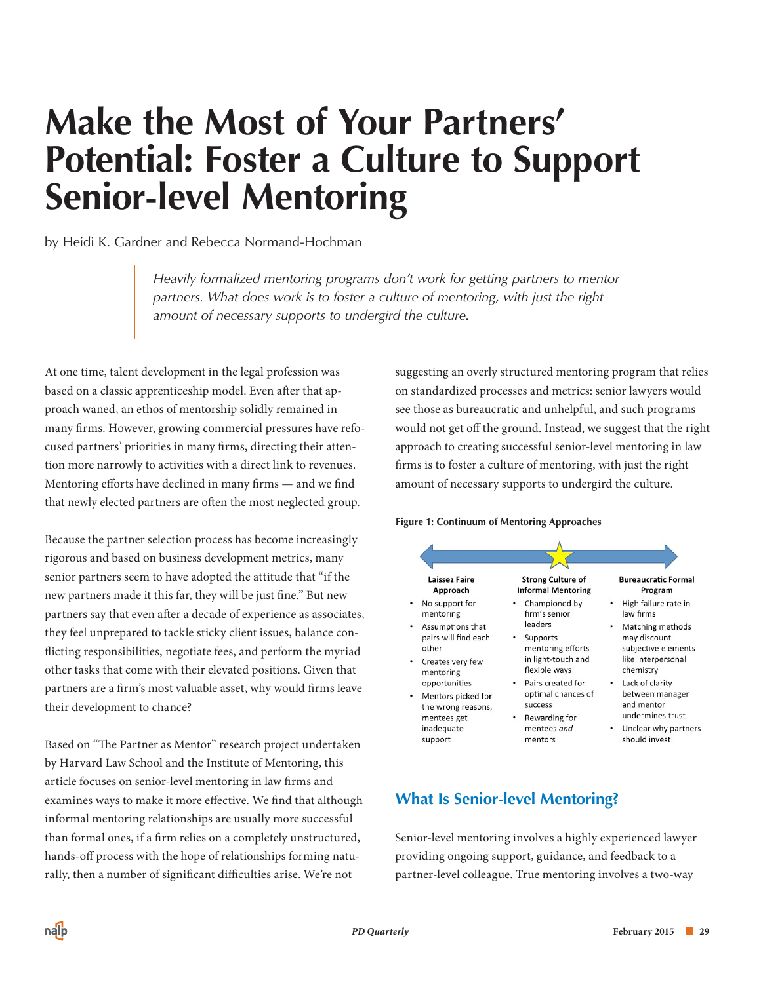# **Make the Most of Your Partners' Potential: Foster a Culture to Support Senior-level Mentoring**

by Heidi K. Gardner and Rebecca Normand-Hochman

*Heavily formalized mentoring programs don't work for getting partners to mentor partners. What does work is to foster a culture of mentoring, with just the right amount of necessary supports to undergird the culture.*

At one time, talent development in the legal profession was based on a classic apprenticeship model. Even after that approach waned, an ethos of mentorship solidly remained in many firms. However, growing commercial pressures have refocused partners' priorities in many firms, directing their attention more narrowly to activities with a direct link to revenues. Mentoring efforts have declined in many firms — and we find that newly elected partners are often the most neglected group.

Because the partner selection process has become increasingly rigorous and based on business development metrics, many senior partners seem to have adopted the attitude that "if the new partners made it this far, they will be just fine." But new partners say that even after a decade of experience as associates, they feel unprepared to tackle sticky client issues, balance conflicting responsibilities, negotiate fees, and perform the myriad other tasks that come with their elevated positions. Given that partners are a firm's most valuable asset, why would firms leave their development to chance?

Based on "The Partner as Mentor" research project undertaken by Harvard Law School and the Institute of Mentoring, this article focuses on senior-level mentoring in law firms and examines ways to make it more effective. We find that although informal mentoring relationships are usually more successful than formal ones, if a firm relies on a completely unstructured, hands-off process with the hope of relationships forming naturally, then a number of significant difficulties arise. We're not

suggesting an overly structured mentoring program that relies on standardized processes and metrics: senior lawyers would see those as bureaucratic and unhelpful, and such programs would not get off the ground. Instead, we suggest that the right approach to creating successful senior-level mentoring in law firms is to foster a culture of mentoring, with just the right amount of necessary supports to undergird the culture.

#### **Figure 1: Continuum of Mentoring Approaches**



# **What Is Senior-level Mentoring?**

Senior-level mentoring involves a highly experienced lawyer providing ongoing support, guidance, and feedback to a partner-level colleague. True mentoring involves a two-way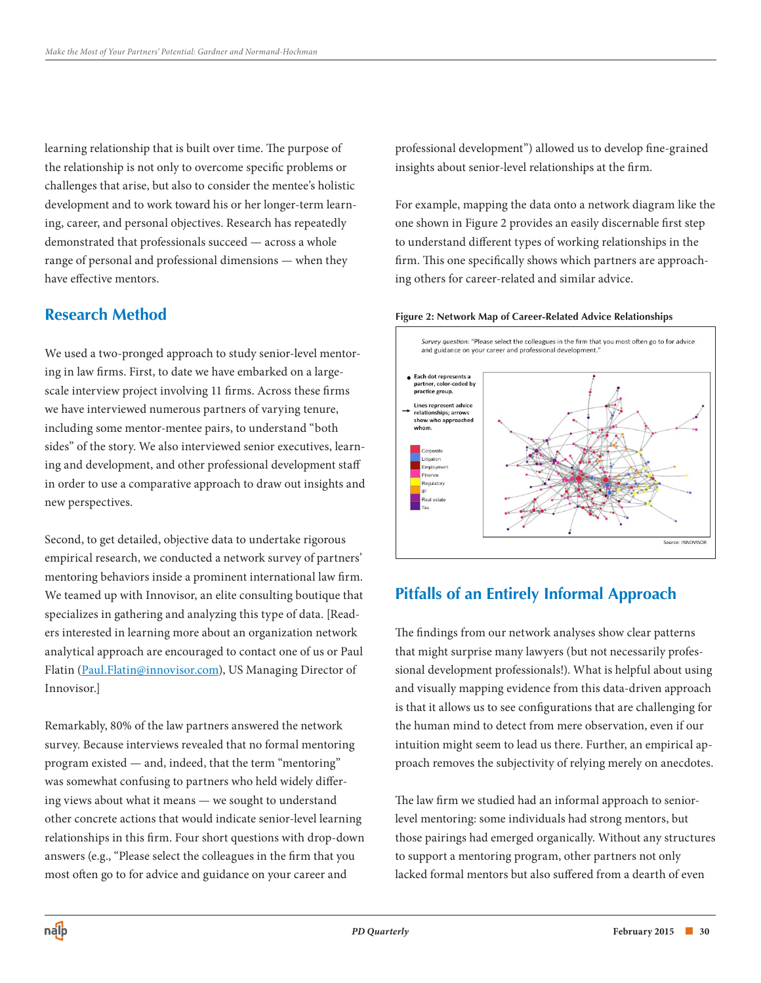learning relationship that is built over time. The purpose of the relationship is not only to overcome specific problems or challenges that arise, but also to consider the mentee's holistic development and to work toward his or her longer-term learning, career, and personal objectives. Research has repeatedly demonstrated that professionals succeed — across a whole range of personal and professional dimensions — when they have effective mentors.

#### **Research Method**

We used a two-pronged approach to study senior-level mentoring in law firms. First, to date we have embarked on a largescale interview project involving 11 firms. Across these firms we have interviewed numerous partners of varying tenure, including some mentor-mentee pairs, to understand "both sides" of the story. We also interviewed senior executives, learning and development, and other professional development staff in order to use a comparative approach to draw out insights and new perspectives.

Second, to get detailed, objective data to undertake rigorous empirical research, we conducted a network survey of partners' mentoring behaviors inside a prominent international law firm. We teamed up with Innovisor, an elite consulting boutique that specializes in gathering and analyzing this type of data. [Readers interested in learning more about an organization network analytical approach are encouraged to contact one of us or Paul Flatin (Paul.Flatin@innovisor.com), US Managing Director of Innovisor.]

Remarkably, 80% of the law partners answered the network survey. Because interviews revealed that no formal mentoring program existed — and, indeed, that the term "mentoring" was somewhat confusing to partners who held widely differing views about what it means — we sought to understand other concrete actions that would indicate senior-level learning relationships in this firm. Four short questions with drop-down answers (e.g., "Please select the colleagues in the firm that you most often go to for advice and guidance on your career and

professional development") allowed us to develop fine-grained insights about senior-level relationships at the firm.

For example, mapping the data onto a network diagram like the one shown in Figure 2 provides an easily discernable first step to understand different types of working relationships in the firm. This one specifically shows which partners are approaching others for career-related and similar advice.

#### **Figure 2: Network Map of Career-Related Advice Relationships**



## **Pitfalls of an Entirely Informal Approach**

The findings from our network analyses show clear patterns that might surprise many lawyers (but not necessarily professional development professionals!). What is helpful about using and visually mapping evidence from this data-driven approach is that it allows us to see configurations that are challenging for the human mind to detect from mere observation, even if our intuition might seem to lead us there. Further, an empirical approach removes the subjectivity of relying merely on anecdotes.

The law firm we studied had an informal approach to seniorlevel mentoring: some individuals had strong mentors, but those pairings had emerged organically. Without any structures to support a mentoring program, other partners not only lacked formal mentors but also suffered from a dearth of even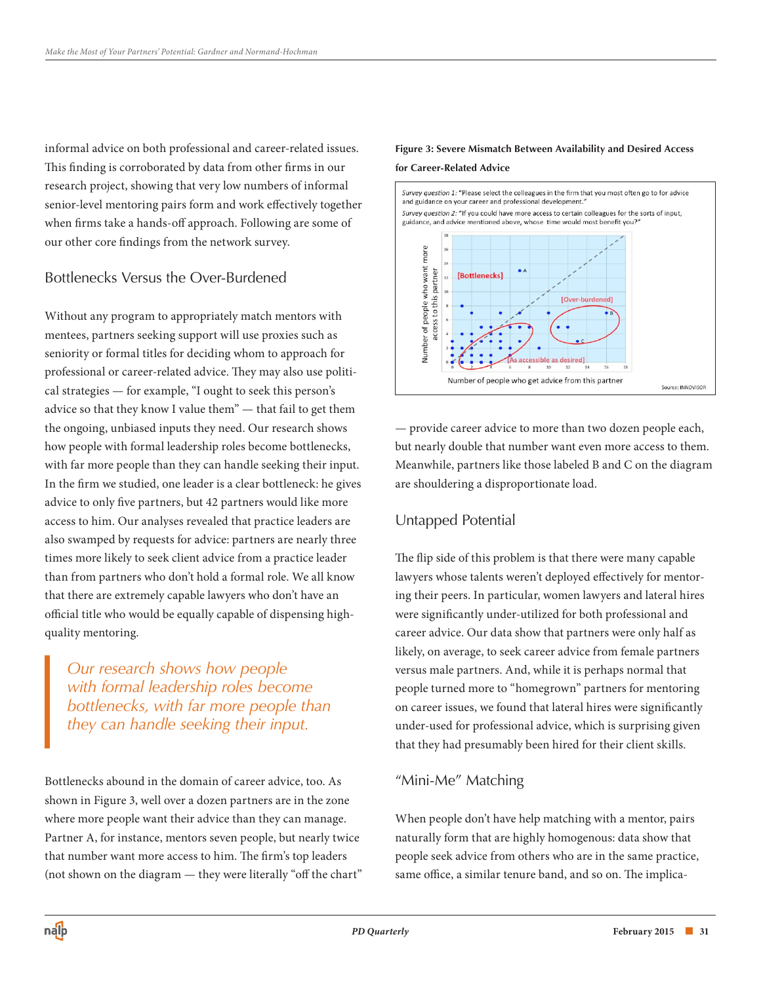informal advice on both professional and career-related issues. This finding is corroborated by data from other firms in our research project, showing that very low numbers of informal senior-level mentoring pairs form and work effectively together when firms take a hands-off approach. Following are some of our other core findings from the network survey.

#### Bottlenecks Versus the Over-Burdened

Without any program to appropriately match mentors with mentees, partners seeking support will use proxies such as seniority or formal titles for deciding whom to approach for professional or career-related advice. They may also use political strategies — for example, "I ought to seek this person's advice so that they know I value them" — that fail to get them the ongoing, unbiased inputs they need. Our research shows how people with formal leadership roles become bottlenecks, with far more people than they can handle seeking their input. In the firm we studied, one leader is a clear bottleneck: he gives advice to only five partners, but 42 partners would like more access to him. Our analyses revealed that practice leaders are also swamped by requests for advice: partners are nearly three times more likely to seek client advice from a practice leader than from partners who don't hold a formal role. We all know that there are extremely capable lawyers who don't have an official title who would be equally capable of dispensing highquality mentoring.

## *Our research shows how people with formal leadership roles become bottlenecks, with far more people than they can handle seeking their input.*

Bottlenecks abound in the domain of career advice, too. As shown in Figure 3, well over a dozen partners are in the zone where more people want their advice than they can manage. Partner A, for instance, mentors seven people, but nearly twice that number want more access to him. The firm's top leaders (not shown on the diagram — they were literally "off the chart"

#### **Figure 3: Severe Mismatch Between Availability and Desired Access for Career-Related Advice**



— provide career advice to more than two dozen people each, but nearly double that number want even more access to them. Meanwhile, partners like those labeled B and C on the diagram are shouldering a disproportionate load.

#### Untapped Potential

The flip side of this problem is that there were many capable lawyers whose talents weren't deployed effectively for mentoring their peers. In particular, women lawyers and lateral hires were significantly under-utilized for both professional and career advice. Our data show that partners were only half as likely, on average, to seek career advice from female partners versus male partners. And, while it is perhaps normal that people turned more to "homegrown" partners for mentoring on career issues, we found that lateral hires were significantly under-used for professional advice, which is surprising given that they had presumably been hired for their client skills.

#### "Mini-Me" Matching

When people don't have help matching with a mentor, pairs naturally form that are highly homogenous: data show that people seek advice from others who are in the same practice, same office, a similar tenure band, and so on. The implica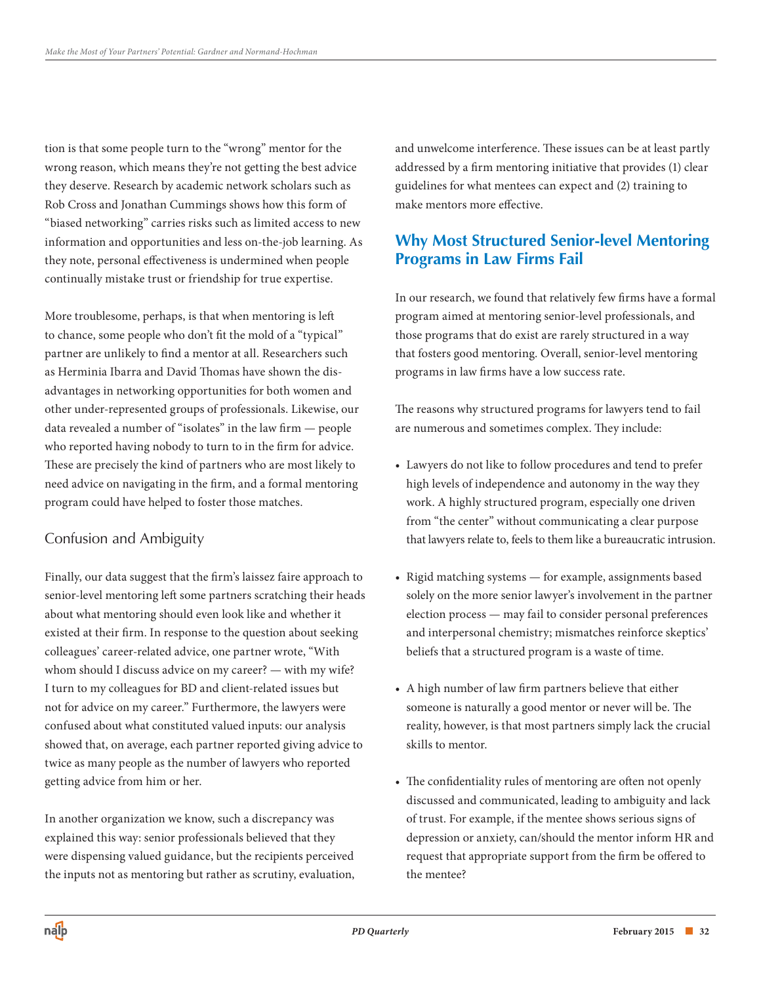tion is that some people turn to the "wrong" mentor for the wrong reason, which means they're not getting the best advice they deserve. Research by academic network scholars such as Rob Cross and Jonathan Cummings shows how this form of "biased networking" carries risks such as limited access to new information and opportunities and less on-the-job learning. As they note, personal effectiveness is undermined when people continually mistake trust or friendship for true expertise.

More troublesome, perhaps, is that when mentoring is left to chance, some people who don't fit the mold of a "typical" partner are unlikely to find a mentor at all. Researchers such as Herminia Ibarra and David Thomas have shown the disadvantages in networking opportunities for both women and other under-represented groups of professionals. Likewise, our data revealed a number of "isolates" in the law firm — people who reported having nobody to turn to in the firm for advice. These are precisely the kind of partners who are most likely to need advice on navigating in the firm, and a formal mentoring program could have helped to foster those matches.

#### Confusion and Ambiguity

Finally, our data suggest that the firm's laissez faire approach to senior-level mentoring left some partners scratching their heads about what mentoring should even look like and whether it existed at their firm. In response to the question about seeking colleagues' career-related advice, one partner wrote, "With whom should I discuss advice on my career? — with my wife? I turn to my colleagues for BD and client-related issues but not for advice on my career." Furthermore, the lawyers were confused about what constituted valued inputs: our analysis showed that, on average, each partner reported giving advice to twice as many people as the number of lawyers who reported getting advice from him or her.

In another organization we know, such a discrepancy was explained this way: senior professionals believed that they were dispensing valued guidance, but the recipients perceived the inputs not as mentoring but rather as scrutiny, evaluation, and unwelcome interference. These issues can be at least partly addressed by a firm mentoring initiative that provides (1) clear guidelines for what mentees can expect and (2) training to make mentors more effective.

# **Why Most Structured Senior-level Mentoring Programs in Law Firms Fail**

In our research, we found that relatively few firms have a formal program aimed at mentoring senior-level professionals, and those programs that do exist are rarely structured in a way that fosters good mentoring. Overall, senior-level mentoring programs in law firms have a low success rate.

The reasons why structured programs for lawyers tend to fail are numerous and sometimes complex. They include:

- • Lawyers do not like to follow procedures and tend to prefer high levels of independence and autonomy in the way they work. A highly structured program, especially one driven from "the center" without communicating a clear purpose that lawyers relate to, feels to them like a bureaucratic intrusion.
- Rigid matching systems for example, assignments based solely on the more senior lawyer's involvement in the partner election process — may fail to consider personal preferences and interpersonal chemistry; mismatches reinforce skeptics' beliefs that a structured program is a waste of time.
- • A high number of law firm partners believe that either someone is naturally a good mentor or never will be. The reality, however, is that most partners simply lack the crucial skills to mentor.
- The confidentiality rules of mentoring are often not openly discussed and communicated, leading to ambiguity and lack of trust. For example, if the mentee shows serious signs of depression or anxiety, can/should the mentor inform HR and request that appropriate support from the firm be offered to the mentee?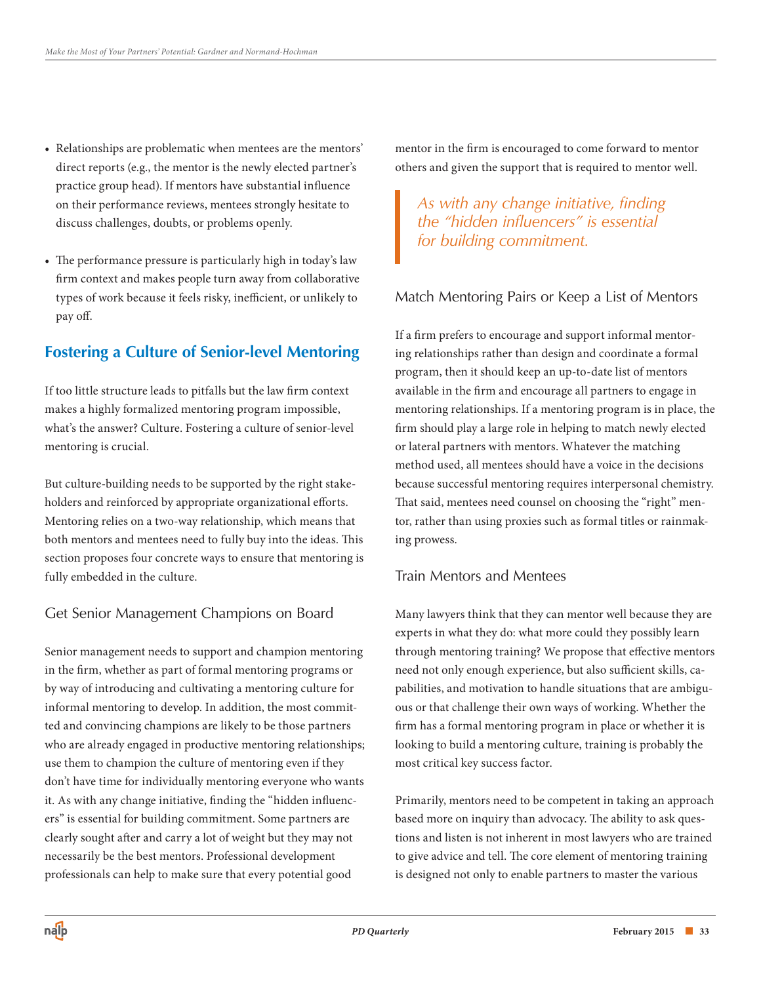- • Relationships are problematic when mentees are the mentors' direct reports (e.g., the mentor is the newly elected partner's practice group head). If mentors have substantial influence on their performance reviews, mentees strongly hesitate to discuss challenges, doubts, or problems openly.
- The performance pressure is particularly high in today's law firm context and makes people turn away from collaborative types of work because it feels risky, inefficient, or unlikely to pay off.

# **Fostering a Culture of Senior-level Mentoring**

If too little structure leads to pitfalls but the law firm context makes a highly formalized mentoring program impossible, what's the answer? Culture. Fostering a culture of senior-level mentoring is crucial.

But culture-building needs to be supported by the right stakeholders and reinforced by appropriate organizational efforts. Mentoring relies on a two-way relationship, which means that both mentors and mentees need to fully buy into the ideas. This section proposes four concrete ways to ensure that mentoring is fully embedded in the culture.

## Get Senior Management Champions on Board

Senior management needs to support and champion mentoring in the firm, whether as part of formal mentoring programs or by way of introducing and cultivating a mentoring culture for informal mentoring to develop. In addition, the most committed and convincing champions are likely to be those partners who are already engaged in productive mentoring relationships; use them to champion the culture of mentoring even if they don't have time for individually mentoring everyone who wants it. As with any change initiative, finding the "hidden influencers" is essential for building commitment. Some partners are clearly sought after and carry a lot of weight but they may not necessarily be the best mentors. Professional development professionals can help to make sure that every potential good

mentor in the firm is encouraged to come forward to mentor others and given the support that is required to mentor well.

*As with any change initiative, finding the "hidden influencers" is essential for building commitment.*

#### Match Mentoring Pairs or Keep a List of Mentors

If a firm prefers to encourage and support informal mentoring relationships rather than design and coordinate a formal program, then it should keep an up-to-date list of mentors available in the firm and encourage all partners to engage in mentoring relationships. If a mentoring program is in place, the firm should play a large role in helping to match newly elected or lateral partners with mentors. Whatever the matching method used, all mentees should have a voice in the decisions because successful mentoring requires interpersonal chemistry. That said, mentees need counsel on choosing the "right" mentor, rather than using proxies such as formal titles or rainmaking prowess.

#### Train Mentors and Mentees

Many lawyers think that they can mentor well because they are experts in what they do: what more could they possibly learn through mentoring training? We propose that effective mentors need not only enough experience, but also sufficient skills, capabilities, and motivation to handle situations that are ambiguous or that challenge their own ways of working. Whether the firm has a formal mentoring program in place or whether it is looking to build a mentoring culture, training is probably the most critical key success factor.

Primarily, mentors need to be competent in taking an approach based more on inquiry than advocacy. The ability to ask questions and listen is not inherent in most lawyers who are trained to give advice and tell. The core element of mentoring training is designed not only to enable partners to master the various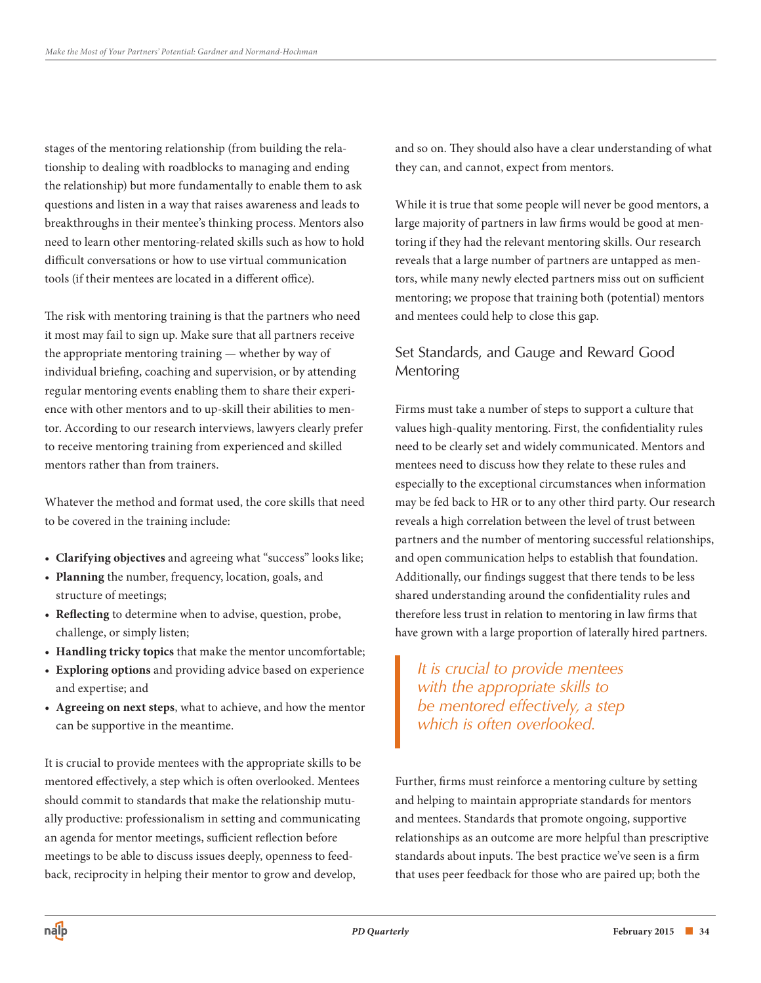stages of the mentoring relationship (from building the relationship to dealing with roadblocks to managing and ending the relationship) but more fundamentally to enable them to ask questions and listen in a way that raises awareness and leads to breakthroughs in their mentee's thinking process. Mentors also need to learn other mentoring-related skills such as how to hold difficult conversations or how to use virtual communication tools (if their mentees are located in a different office).

The risk with mentoring training is that the partners who need it most may fail to sign up. Make sure that all partners receive the appropriate mentoring training — whether by way of individual briefing, coaching and supervision, or by attending regular mentoring events enabling them to share their experience with other mentors and to up-skill their abilities to mentor. According to our research interviews, lawyers clearly prefer to receive mentoring training from experienced and skilled mentors rather than from trainers.

Whatever the method and format used, the core skills that need to be covered in the training include:

- • **Clarifying objectives** and agreeing what "success" looks like;
- • **Planning** the number, frequency, location, goals, and structure of meetings;
- • **Reflecting** to determine when to advise, question, probe, challenge, or simply listen;
- **Handling tricky topics** that make the mentor uncomfortable;
- • **Exploring options** and providing advice based on experience and expertise; and
- • **Agreeing on next steps**, what to achieve, and how the mentor can be supportive in the meantime.

It is crucial to provide mentees with the appropriate skills to be mentored effectively, a step which is often overlooked. Mentees should commit to standards that make the relationship mutually productive: professionalism in setting and communicating an agenda for mentor meetings, sufficient reflection before meetings to be able to discuss issues deeply, openness to feedback, reciprocity in helping their mentor to grow and develop,

and so on. They should also have a clear understanding of what they can, and cannot, expect from mentors.

While it is true that some people will never be good mentors, a large majority of partners in law firms would be good at mentoring if they had the relevant mentoring skills. Our research reveals that a large number of partners are untapped as mentors, while many newly elected partners miss out on sufficient mentoring; we propose that training both (potential) mentors and mentees could help to close this gap.

## Set Standards, and Gauge and Reward Good Mentoring

Firms must take a number of steps to support a culture that values high-quality mentoring. First, the confidentiality rules need to be clearly set and widely communicated. Mentors and mentees need to discuss how they relate to these rules and especially to the exceptional circumstances when information may be fed back to HR or to any other third party. Our research reveals a high correlation between the level of trust between partners and the number of mentoring successful relationships, and open communication helps to establish that foundation. Additionally, our findings suggest that there tends to be less shared understanding around the confidentiality rules and therefore less trust in relation to mentoring in law firms that have grown with a large proportion of laterally hired partners.

*It is crucial to provide mentees with the appropriate skills to be mentored effectively, a step which is often overlooked.*

Further, firms must reinforce a mentoring culture by setting and helping to maintain appropriate standards for mentors and mentees. Standards that promote ongoing, supportive relationships as an outcome are more helpful than prescriptive standards about inputs. The best practice we've seen is a firm that uses peer feedback for those who are paired up; both the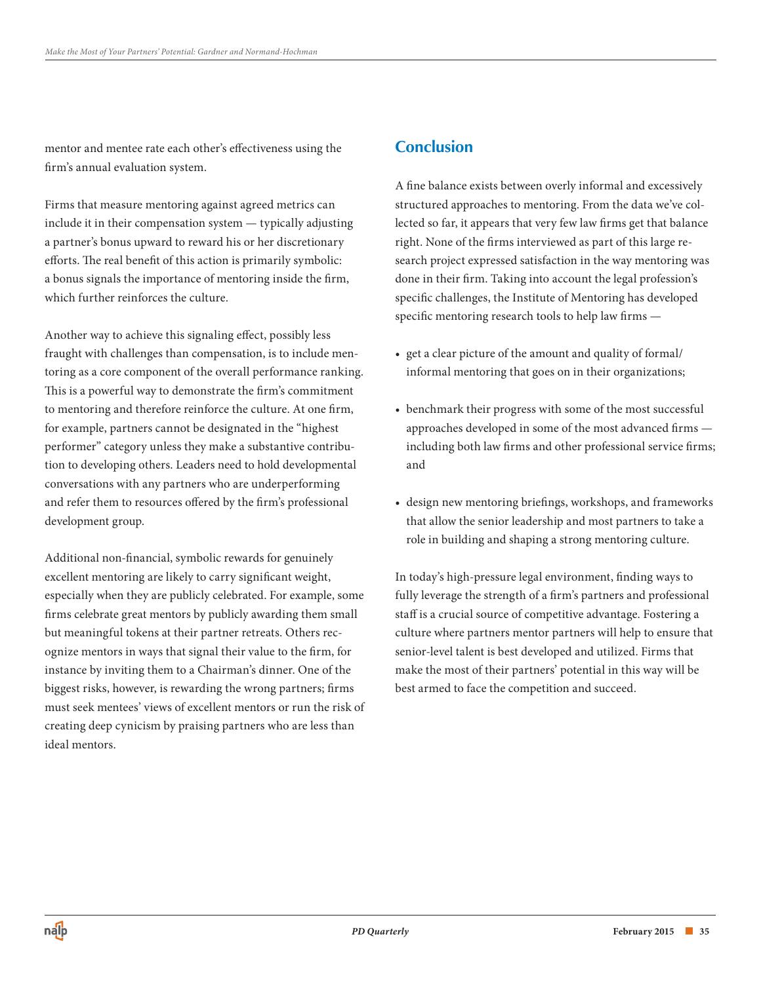mentor and mentee rate each other's effectiveness using the firm's annual evaluation system.

Firms that measure mentoring against agreed metrics can include it in their compensation system — typically adjusting a partner's bonus upward to reward his or her discretionary efforts. The real benefit of this action is primarily symbolic: a bonus signals the importance of mentoring inside the firm, which further reinforces the culture.

Another way to achieve this signaling effect, possibly less fraught with challenges than compensation, is to include mentoring as a core component of the overall performance ranking. This is a powerful way to demonstrate the firm's commitment to mentoring and therefore reinforce the culture. At one firm, for example, partners cannot be designated in the "highest performer" category unless they make a substantive contribution to developing others. Leaders need to hold developmental conversations with any partners who are underperforming and refer them to resources offered by the firm's professional development group.

Additional non-financial, symbolic rewards for genuinely excellent mentoring are likely to carry significant weight, especially when they are publicly celebrated. For example, some firms celebrate great mentors by publicly awarding them small but meaningful tokens at their partner retreats. Others recognize mentors in ways that signal their value to the firm, for instance by inviting them to a Chairman's dinner. One of the biggest risks, however, is rewarding the wrong partners; firms must seek mentees' views of excellent mentors or run the risk of creating deep cynicism by praising partners who are less than ideal mentors.

# **Conclusion**

A fine balance exists between overly informal and excessively structured approaches to mentoring. From the data we've collected so far, it appears that very few law firms get that balance right. None of the firms interviewed as part of this large research project expressed satisfaction in the way mentoring was done in their firm. Taking into account the legal profession's specific challenges, the Institute of Mentoring has developed specific mentoring research tools to help law firms —

- • get a clear picture of the amount and quality of formal/ informal mentoring that goes on in their organizations;
- benchmark their progress with some of the most successful approaches developed in some of the most advanced firms including both law firms and other professional service firms; and
- • design new mentoring briefings, workshops, and frameworks that allow the senior leadership and most partners to take a role in building and shaping a strong mentoring culture.

In today's high-pressure legal environment, finding ways to fully leverage the strength of a firm's partners and professional staff is a crucial source of competitive advantage. Fostering a culture where partners mentor partners will help to ensure that senior-level talent is best developed and utilized. Firms that make the most of their partners' potential in this way will be best armed to face the competition and succeed.